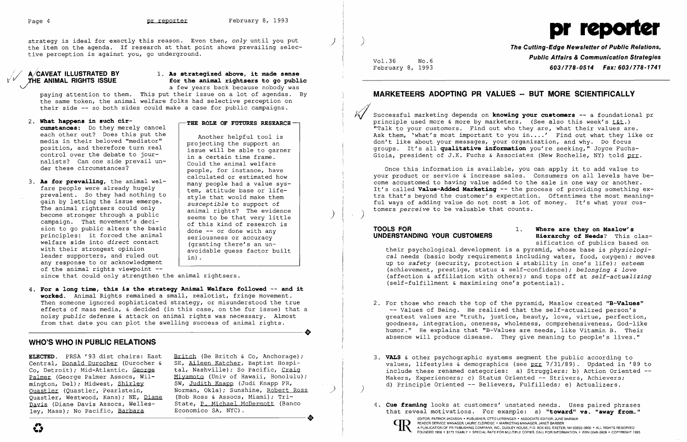strategy is ideal for exactly this reason. Even then, *only* until you put the item on the agenda. If research at that point shows prevailing selective perception is against you, go underground.



A/CAVEAT ILLUSTRATED BY **1.** As strategized above, it made sense **THE ANIMAL RIGHTS ISSUE 1.** As strategized above, it made sense for the animal rightsers to go public a few years back because nobody was

**The Cutting-Edge Newsletter of Public Relations,**  Vol.36 No.6 **Public Affairs & Communication Strategies**  February 8, 1993 **603/778-0514 Fax: 603/778-1741** 

paying attention to them. This put their issue on a lot of agendas. By the same token, the animal welfare folks had selective perception on their side -- so both sides could make a case for public campaigns.

- 2. **What happens in such circumstances:** Do they merely cancel each other out? Does this put the media in their beloved "mediator" position, and therefore turn real control over the debate to journalists? Can one side prevail under these circumstances?
- 3. **As for prevailing,** the animal welfare people were already hugely prevalent. So they had nothing to gain by letting the issue emerge. The animal rightsers could only become stronger through a public campaign. That movement's decision to go public alters the basic principles: it forced the animal welfare side into *direct* contact with their strongest opinion leader supporters, and ruled out any response to or acknowledgment of the animal rights viewpoint **-**

Successful marketing depends on **knowing your customers** -- a foundational pr principle used more & more by marketers. (See also this week's  $t \& t$ .) "Talk to your customers. Find out who they are, what their values are. Ask them, 'what's most important to you in....' Find out what they like or don't like about your messages, your organization, and why. Do focus groups. It's all **qualitative information** you're seeking," Joyce Fuchs-Gioia, president of J.K. Fuchs & Associates (New Rochelle, NY) told prr.

Once this information is available, you can apply it to add value to your product or service & increase sales. Consumers on all levels have become accustomed to having value added to the sale in one way or another. It's called **Value-Added Marketing --** the process of providing something extra that's beyond the customer's expectation. Oftentimes the most meaningful ways of adding value do not cost a lot of money. It's what your customers *perceive* to be valuable that counts.

### **THE ROLE OF FUTURES RESEARCH**

### **TOOLS FOR** 1. **Where are they on Maslow's UNDERSTANDING YOUR CUSTOMERS**

Another helpful tool is projecting the support an issue will be able to garner in a certain time frame. Could the animal welfare people, for instance, have calculated or estimated how many people had a value system, attitude base or lifestyle that would make them *susceptible* to support of animal rights? The evidence seems to be that very little of this kind of research is done -- or done with any seriousness or accuracy (granting there's an unavoidable guess factor built in) .

4. **For a long time, this is the strategy Animal Welfare followed - and it worked.** Animal Rights remained a small, zealotist, fringe movement.<br>Then someone ignored sophisticated strategy, or misunderstood the true effects of mass media, & decided (in this case, on the fur issue) that a noisy public defense & attack on animal rights was necessary. Almost noisy public defense & attack on animal rights was necessary. Almost and the section of the same are "truth, justice, beauty, love, virtue, perfection, from that date you can plot the swelling success of animal rights. The moisy public defense & attack on animal rights was necessary. Almost<br>from that date you can plot the swelling success of animal rights.<br>The strategy of the swelling success of animal rights.<br>The explains that "B-Values are

since that could only strengthen the animal rightsers.

The sophisticated strategy of the strategy, or those who reach the top of the pyramid, Maslow created "B-Values" -- Values of Being. He realized that the self-actualized person's goodness, integration, oneness, wholeness, comprehensiveness, God-like<br>humor." He explains that "B-Values are needs, like Vitamin B. Their absence will produce disease. They give meaning to people's lives."

**ELECTED.**  PRSA '93 dist chairs: East Central, <u>Donald Durocher</u> (Durocher & Co, Detroit); Mid-Atlantic, George Palmer (George Palmer Assocs, Wilmington, Del); Midwest, Shirley Ouastler (Quastler, Pearlstein, Quastler, Westwood, Kans); NE, Diane (Bob Ross & Assocs, Miami); Tri-Davis (Diane Davis Assocs, Welleslev, Mass); No Pacific, Barbara

Britch (Be Britch & Co, Anchorage); SE, Aileen Katcher, Baptist Hospital, Nashville); So Pacific, Craig Miyamoto (Univ of Hawaii, Honolulu); SW, Judith Knapp (Judi Knapp PR, Norman, Okla); Sunshine, Robert Ross / State, P. Michael McDermott (Banco Economico SA, NYC). Quastler, Westwood, Kans); NE, <u>Diane</u> (Bob Ross & Assocs, Miami); Tri--<br><u>Davis</u> (Diane Davis Assocs, Welles-State, <u>P. Michael McDermott</u> (Banco<br>ley, Mass); No Pacific, <u>Barbara</u> Economico SA, NYC).

# **MARKETEERS ADOPTING PR VALUES -- BUT MORE SCIENTIFICALLY**

3. **VALS** & other psychographic systems segment the public according to values, lifestyles & demographics (see prr 7/31/89). Updated in '89 to include these renamed categories: a) Strugglers; b) Action Oriented --

A PUBLICATION OF PR PUBLISHING COMPANY, INC., DUDLEY HOUSE, P.O. BOX 600, EXETER, NH 03833-0600 • ALL RIGHTS RESERVED FOUNDED 1958 . \$175 YEARLY . SPECIAL RATE FOR MULTIPLE COPIES; CALL FOR INFORMATION . ISSN 0048-2609 . COPYRIGHT 1993

sification of publics based on their psychological development is a pyramid, whose base is *physiological* needs (basic body requirements including water, food, oxygen); moves up to *safety* (security, protection & stability in one's life); *esteem*  (achievement, prestige, status & self-confidence); *belonging* & *love*  (affection & affiliation with others); and tops off at *self-actualizing*  (self-fulfillment & maximizing one's potential).

- 
- Makers, Experiencers; c) Status Oriented -- Strivers, Achievers; d) Principle Oriented -- Believers, Fulfilleds; e) Actualizers.

4. **Cue framing** looks at customers' unstated needs. Uses paired phrases that reveal motivations. For example: a) "**toward" vs. "away from."**<br> **EDITOR, PATRICK JACKSON • PUBLISHER, OTTO LERBINGER • ASSOCIATE EDITOR, JUNE BARBER** 



# **WHO'S WHO IN PUBLIC RELATIONS**